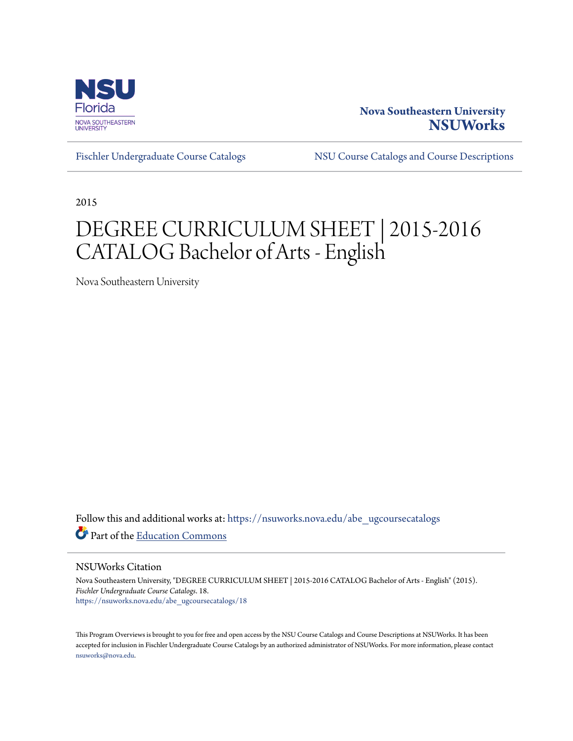

## **Nova Southeastern University [NSUWorks](https://nsuworks.nova.edu?utm_source=nsuworks.nova.edu%2Fabe_ugcoursecatalogs%2F18&utm_medium=PDF&utm_campaign=PDFCoverPages)**

[Fischler Undergraduate Course Catalogs](https://nsuworks.nova.edu/abe_ugcoursecatalogs?utm_source=nsuworks.nova.edu%2Fabe_ugcoursecatalogs%2F18&utm_medium=PDF&utm_campaign=PDFCoverPages) [NSU Course Catalogs and Course Descriptions](https://nsuworks.nova.edu/nsu_catalogs?utm_source=nsuworks.nova.edu%2Fabe_ugcoursecatalogs%2F18&utm_medium=PDF&utm_campaign=PDFCoverPages)

2015

# DEGREE CURRICULUM SHEET | 2015-2016 CATALOG Bachelor of Arts - English

Nova Southeastern University

Follow this and additional works at: [https://nsuworks.nova.edu/abe\\_ugcoursecatalogs](https://nsuworks.nova.edu/abe_ugcoursecatalogs?utm_source=nsuworks.nova.edu%2Fabe_ugcoursecatalogs%2F18&utm_medium=PDF&utm_campaign=PDFCoverPages) Part of the [Education Commons](http://network.bepress.com/hgg/discipline/784?utm_source=nsuworks.nova.edu%2Fabe_ugcoursecatalogs%2F18&utm_medium=PDF&utm_campaign=PDFCoverPages)

NSUWorks Citation

Nova Southeastern University, "DEGREE CURRICULUM SHEET | 2015-2016 CATALOG Bachelor of Arts - English" (2015). *Fischler Undergraduate Course Catalogs*. 18. [https://nsuworks.nova.edu/abe\\_ugcoursecatalogs/18](https://nsuworks.nova.edu/abe_ugcoursecatalogs/18?utm_source=nsuworks.nova.edu%2Fabe_ugcoursecatalogs%2F18&utm_medium=PDF&utm_campaign=PDFCoverPages)

This Program Overviews is brought to you for free and open access by the NSU Course Catalogs and Course Descriptions at NSUWorks. It has been accepted for inclusion in Fischler Undergraduate Course Catalogs by an authorized administrator of NSUWorks. For more information, please contact [nsuworks@nova.edu.](mailto:nsuworks@nova.edu)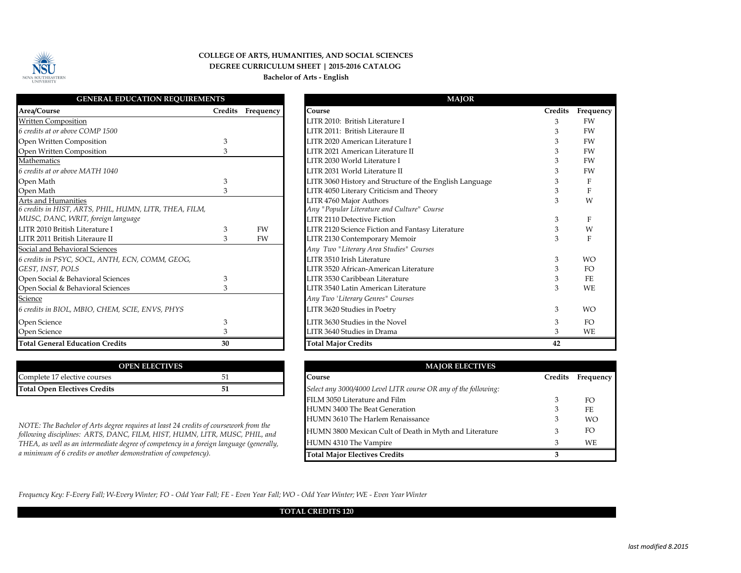

#### **COLLEGE OF ARTS, HUMANITIES, AND SOCIAL SCIENCES DEGREE CURRICULUM SHEET | 2015-2016 CATALOG Bachelor of Arts - English**

| <b>GENERAL EDUCATION REQUIREMENTS</b>                  |                |           |
|--------------------------------------------------------|----------------|-----------|
| Area/Course                                            | <b>Credits</b> | Frequency |
| <b>Written Composition</b>                             |                |           |
| 6 credits at or above COMP 1500                        |                |           |
| Open Written Composition                               | $\mathfrak{Z}$ |           |
| Open Written Composition                               | 3              |           |
| Mathematics                                            |                |           |
| 6 credits at or above MATH 1040                        |                |           |
| Open Math                                              | 3              |           |
| Open Math                                              | $\mathfrak{Z}$ |           |
| Arts and Humanities                                    |                |           |
| 6 credits in HIST, ARTS, PHIL, HUMN, LITR, THEA, FILM, |                |           |
| MUSC, DANC, WRIT, foreign language                     |                |           |
| LITR 2010 British Literature I                         | $\mathfrak{Z}$ | FW        |
| LITR 2011 British Literaure II                         | 3              | <b>FW</b> |
| Social and Behavioral Sciences                         |                |           |
| 6 credits in PSYC, SOCL, ANTH, ECN, COMM, GEOG,        |                |           |
| GEST, INST, POLS                                       |                |           |
| Open Social & Behavioral Sciences                      | 3              |           |
| Open Social & Behavioral Sciences                      | 3              |           |
| Science                                                |                |           |
| 6 credits in BIOL, MBIO, CHEM, SCIE, ENVS, PHYS        |                |           |
| Open Science                                           | 3              |           |
| Open Science                                           | 3              |           |
| <b>Total General Education Credits</b>                 | 30             |           |

| <b>OPEN ELECTIVES</b>               |  |  |  |  |  |
|-------------------------------------|--|--|--|--|--|
| Complete 17 elective courses        |  |  |  |  |  |
| <b>Total Open Electives Credits</b> |  |  |  |  |  |

*NOTE: The Bachelor of Arts degree requires at least 24 credits of coursework from the following disciplines: ARTS, DANC, FILM, HIST, HUMN, LITR, MUSC, PHIL, and THEA, as well as an intermediate degree of competency in a foreign language (generally, a minimum of 6 credits or another demonstration of competency).*

| <b>MAJOR</b>                                            |                |           |
|---------------------------------------------------------|----------------|-----------|
| Course                                                  | <b>Credits</b> | Frequency |
| LITR 2010: British Literature I                         | 3              | <b>FW</b> |
| LITR 2011: British Literaure II                         | 3              | <b>FW</b> |
| LITR 2020 American Literature I                         | 3              | <b>FW</b> |
| LITR 2021 American Literature II                        | 3              | FW        |
| LITR 2030 World Literature I                            | 3              | <b>FW</b> |
| LITR 2031 World Literature II                           | 3              | <b>FW</b> |
| LITR 3060 History and Structure of the English Language | 3              | F         |
| LITR 4050 Literary Criticism and Theory                 | 3              | F         |
| LITR 4760 Major Authors                                 | 3              | W         |
| Any "Popular Literature and Culture" Course             |                |           |
| <b>LITR 2110 Detective Fiction</b>                      | 3              | F         |
| LITR 2120 Science Fiction and Fantasy Literature        | 3              | W         |
| LITR 2130 Contemporary Memoir                           | 3              | F         |
| Any Two "Literary Area Studies" Courses                 |                |           |
| LITR 3510 Irish Literature                              | 3              | <b>WO</b> |
| LITR 3520 African-American Literature                   | 3              | FO        |
| LITR 3530 Caribbean Literature                          | 3              | FE        |
| LITR 3540 Latin American Literature                     | 3              | <b>WE</b> |
| Any Two 'Literary Genres" Courses                       |                |           |
| LITR 3620 Studies in Poetry                             | 3              | <b>WO</b> |
| LITR 3630 Studies in the Novel                          | 3              | FO.       |
| LITR 3640 Studies in Drama                              | 3              | WE        |
| <b>Total Major Credits</b>                              | 42             |           |

| <b>MAJOR ELECTIVES</b>                                          |                |           |  |  |  |  |
|-----------------------------------------------------------------|----------------|-----------|--|--|--|--|
| Course                                                          | <b>Credits</b> | Frequency |  |  |  |  |
| Select any 3000/4000 Level LITR course OR any of the following: |                |           |  |  |  |  |
| FILM 3050 Literature and Film                                   | 3              | FO        |  |  |  |  |
| HUMN 3400 The Beat Generation                                   | 3              | FE        |  |  |  |  |
| HUMN 3610 The Harlem Renaissance                                | 3              | <b>WO</b> |  |  |  |  |
| HUMN 3800 Mexican Cult of Death in Myth and Literature          | 3              | FO.       |  |  |  |  |
| HUMN 4310 The Vampire                                           | З              | WE.       |  |  |  |  |
| <b>Total Major Electives Credits</b>                            | 3              |           |  |  |  |  |

*Frequency Key: F-Every Fall; W-Every Winter; FO - Odd Year Fall; FE - Even Year Fall; WO - Odd Year Winter; WE - Even Year Winter* 

#### **TOTAL CREDITS 120**